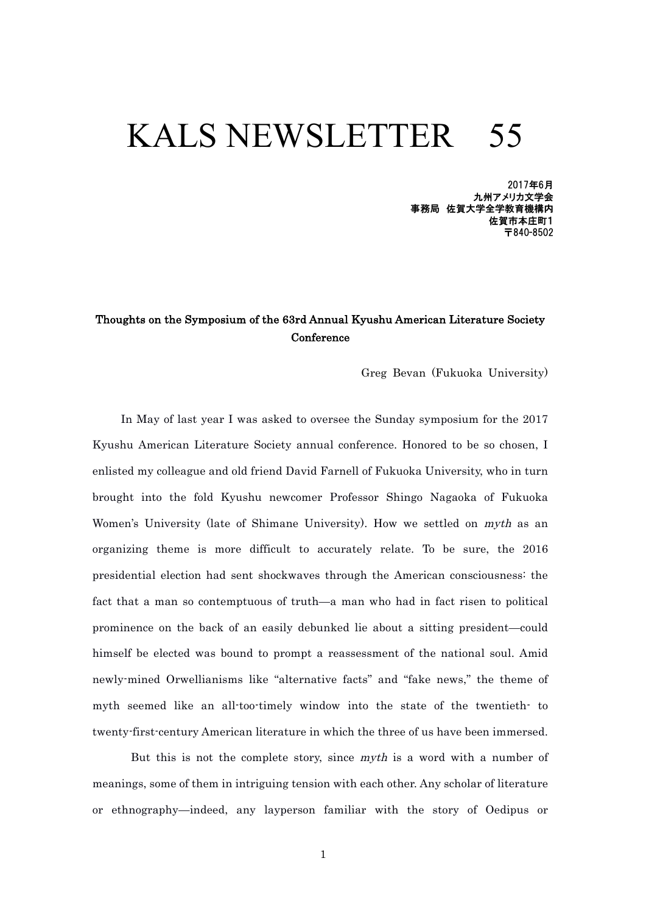# KALS NEWSLETTER 55

2017年6月 九州アメリカ文学会 事務局 佐賀大学全学教育機構内 佐賀市本庄町1 〒840-8502

### Thoughts on the Symposium of the 63rd Annual Kyushu American Literature Society **Conference**

Greg Bevan (Fukuoka University)

 In May of last year I was asked to oversee the Sunday symposium for the 2017 Kyushu American Literature Society annual conference. Honored to be so chosen, I enlisted my colleague and old friend David Farnell of Fukuoka University, who in turn brought into the fold Kyushu newcomer Professor Shingo Nagaoka of Fukuoka Women's University (late of Shimane University). How we settled on myth as an organizing theme is more difficult to accurately relate. To be sure, the 2016 presidential election had sent shockwaves through the American consciousness: the fact that a man so contemptuous of truth—a man who had in fact risen to political prominence on the back of an easily debunked lie about a sitting president—could himself be elected was bound to prompt a reassessment of the national soul. Amid newly-mined Orwellianisms like "alternative facts" and "fake news," the theme of myth seemed like an all-too-timely window into the state of the twentieth- to twenty-first-century American literature in which the three of us have been immersed.

But this is not the complete story, since *myth* is a word with a number of meanings, some of them in intriguing tension with each other. Any scholar of literature or ethnography—indeed, any layperson familiar with the story of Oedipus or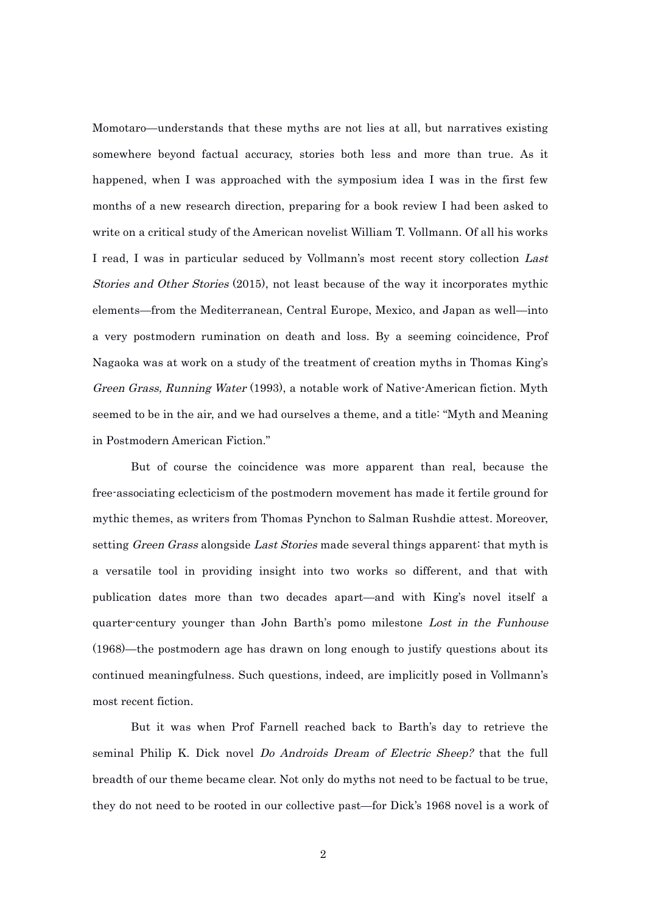Momotaro—understands that these myths are not lies at all, but narratives existing somewhere beyond factual accuracy, stories both less and more than true. As it happened, when I was approached with the symposium idea I was in the first few months of a new research direction, preparing for a book review I had been asked to write on a critical study of the American novelist William T. Vollmann. Of all his works I read, I was in particular seduced by Vollmann's most recent story collection Last Stories and Other Stories (2015), not least because of the way it incorporates mythic elements—from the Mediterranean, Central Europe, Mexico, and Japan as well—into a very postmodern rumination on death and loss. By a seeming coincidence, Prof Nagaoka was at work on a study of the treatment of creation myths in Thomas King's Green Grass, Running Water (1993), a notable work of Native-American fiction. Myth seemed to be in the air, and we had ourselves a theme, and a title: "Myth and Meaning in Postmodern American Fiction."

But of course the coincidence was more apparent than real, because the free-associating eclecticism of the postmodern movement has made it fertile ground for mythic themes, as writers from Thomas Pynchon to Salman Rushdie attest. Moreover, setting *Green Grass* alongside *Last Stories* made several things apparent: that myth is a versatile tool in providing insight into two works so different, and that with publication dates more than two decades apart—and with King's novel itself a quarter-century younger than John Barth's pomo milestone Lost in the Funhouse (1968)—the postmodern age has drawn on long enough to justify questions about its continued meaningfulness. Such questions, indeed, are implicitly posed in Vollmann's most recent fiction.

But it was when Prof Farnell reached back to Barth's day to retrieve the seminal Philip K. Dick novel *Do Androids Dream of Electric Sheep?* that the full breadth of our theme became clear. Not only do myths not need to be factual to be true, they do not need to be rooted in our collective past—for Dick's 1968 novel is a work of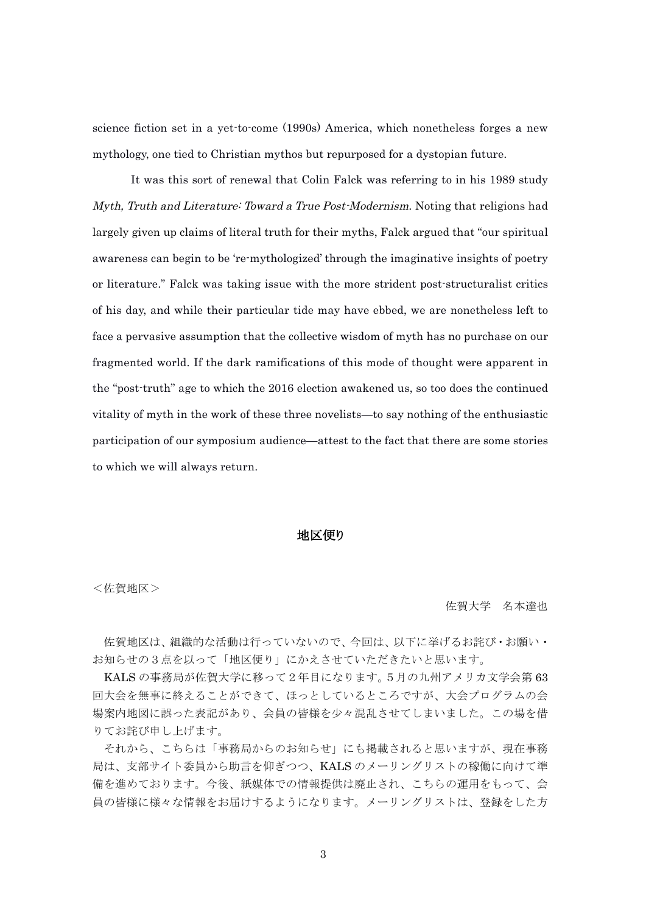science fiction set in a yet-to-come (1990s) America, which nonetheless forges a new mythology, one tied to Christian mythos but repurposed for a dystopian future.

It was this sort of renewal that Colin Falck was referring to in his 1989 study Myth, Truth and Literature: Toward a True Post-Modernism. Noting that religions had largely given up claims of literal truth for their myths, Falck argued that "our spiritual awareness can begin to be 're-mythologized' through the imaginative insights of poetry or literature." Falck was taking issue with the more strident post-structuralist critics of his day, and while their particular tide may have ebbed, we are nonetheless left to face a pervasive assumption that the collective wisdom of myth has no purchase on our fragmented world. If the dark ramifications of this mode of thought were apparent in the "post-truth" age to which the 2016 election awakened us, so too does the continued vitality of myth in the work of these three novelists—to say nothing of the enthusiastic participation of our symposium audience—attest to the fact that there are some stories to which we will always return.

#### 地区便り

<佐賀地区>

 佐賀大学 名本達也

佐賀地区は、組織的な活動は行っていないので、今回は、以下に挙げるお詫び・お願い・ お知らせの3点を以って「地区便り」にかえさせていただきたいと思います。

KALS の事務局が佐賀大学に移って2年目になります。5月の九州アメリカ文学会第 63 回大会を無事に終えることができて、ほっとしているところですが、大会プログラムの会 場案内地図に誤った表記があり、会員の皆様を少々混乱させてしまいました。この場を借 りてお詫び申し上げます。

それから、こちらは「事務局からのお知らせ」にも掲載されると思いますが、現在事務 局は、支部サイト委員から助言を仰ぎつつ、KALS のメーリングリストの稼働に向けて準 備を進めております。今後、紙媒体での情報提供は廃止され、こちらの運用をもって、会 員の皆様に様々な情報をお届けするようになります。メーリングリストは、登録をした方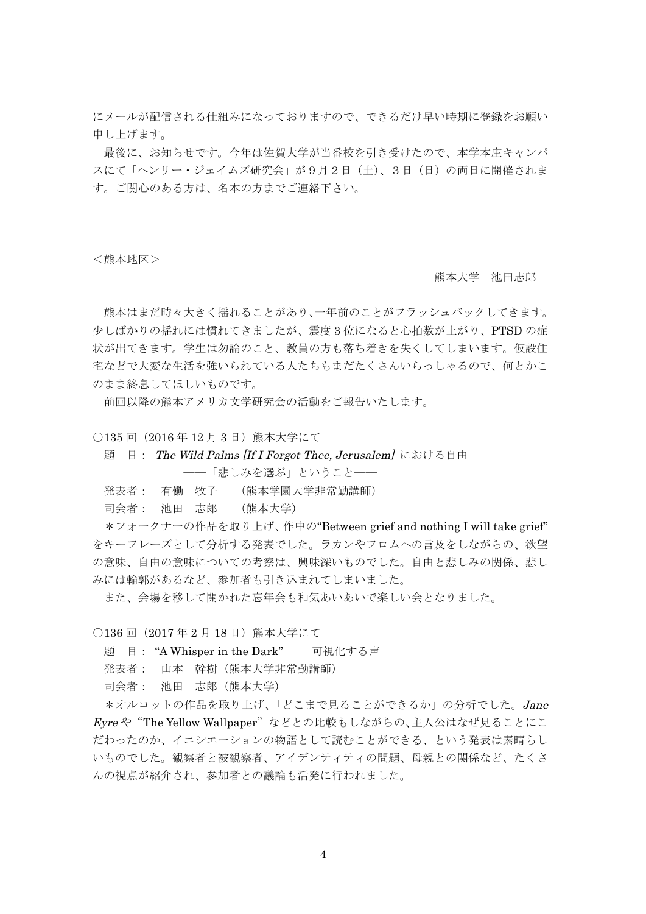にメールが配信される仕組みになっておりますので、できるだけ早い時期に登録をお願い 申し上げます。

最後に、お知らせです。今年は佐賀大学が当番校を引き受けたので、本学本庄キャンパ スにて「ヘンリー・ジェイムズ研究会」が9月2日(土)、3日(日)の両日に開催されま す。ご関心のある方は、名本の方までご連絡下さい。

<熊本地区>

熊本大学 池田志郎

熊本はまだ時々大きく揺れることがあり、一年前のことがフラッシュバックしてきます。 少しばかりの揺れには慣れてきましたが、震度 3 位になると心拍数が上がり、PTSD の症 状が出てきます。学生は勿論のこと、教員の方も落ち着きを失くしてしまいます。仮設住 宅などで大変な生活を強いられている人たちもまだたくさんいらっしゃるので、何とかこ のまま終息してほしいものです。

前回以降の熊本アメリカ文学研究会の活動をご報告いたします。

○135 回 (2016年12月3日)熊本大学にて

題 目: The Wild Palms [If I Forgot Thee, Jerusalem] における自由

――「悲しみを選ぶ」ということ――

発表者: 有働 牧子 (熊本学園大学非常勤講師)

司会者: 池田 志郎 (熊本大学)

\*フォークナーの作品を取り上げ、作中の"Between grief and nothing I will take grief" をキーフレーズとして分析する発表でした。ラカンやフロムへの言及をしながらの、欲望 の意味、自由の意味についての考察は、興味深いものでした。自由と悲しみの関係、悲し みには輪郭があるなど、参加者も引き込まれてしまいました。

また、会場を移して開かれた忘年会も和気あいあいで楽しい会となりました。

○136回 (2017年2月18日)熊本大学にて

題 目: "A Whisper in the Dark" ――可視化する声

発表者: 山本 幹樹(熊本大学非常勤講師)

司会者: 池田 志郎(熊本大学)

\*オルコットの作品を取り上げ、「どこまで見ることができるか」の分析でした。Jane Eyre や"The Yellow Wallpaper"などとの比較もしながらの、主人公はなぜ見ることにこ だわったのか、イニシエーションの物語として読むことができる、という発表は素晴らし いものでした。観察者と被観察者、アイデンティティの問題、母親との関係など、たくさ んの視点が紹介され、参加者との議論も活発に行われました。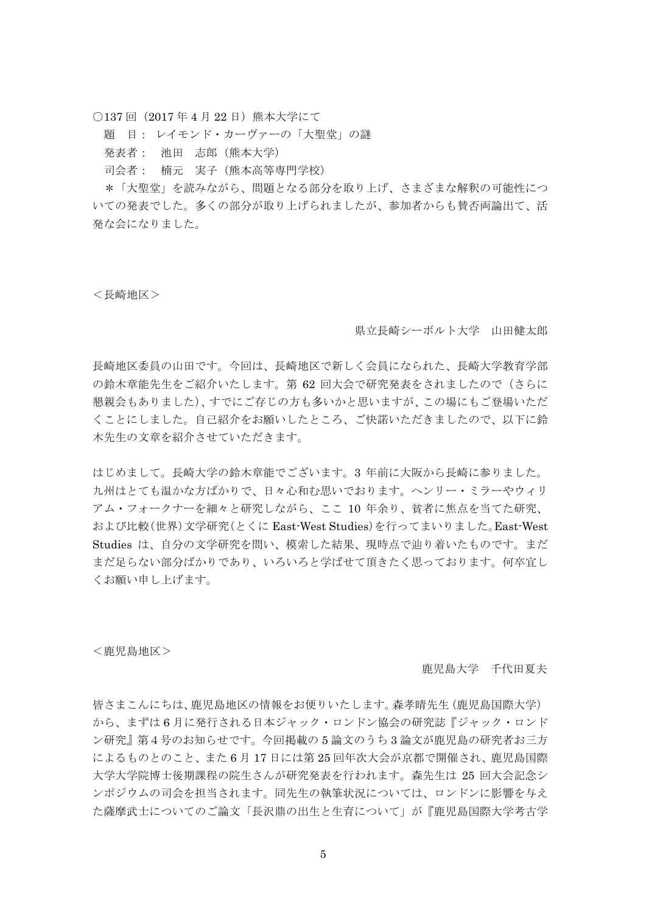○137 回 (2017年4月22日)熊本大学にて

題 目: レイモンド・カーヴァーの「大聖堂」の謎

発表者: 池田 志郎(熊本大学)

司会者: 楠元 実子(熊本高等専門学校)

\*「大聖堂」を読みながら、問題となる部分を取り上げ、さまざまな解釈の可能性につ いての発表でした。多くの部分が取り上げられましたが、参加者からも賛否両論出て、活 発な会になりました。

<長崎地区>

県立長崎シーボルト大学 山田健太郎

長崎地区委員の山田です。今回は、長崎地区で新しく会員になられた、長崎大学教育学部 の鈴木章能先生をご紹介いたします。第 62 回大会で研究発表をされましたので(さらに 懇親会もありました)、すでにご存じの方も多いかと思いますが、この場にもご登場いただ くことにしました。自己紹介をお願いしたところ、ご快諾いただきましたので、以下に鈴 木先生の文章を紹介させていただきます。

はじめまして。長崎大学の鈴木章能でございます。3 年前に大阪から長崎に参りました。 九州はとても温かな方ばかりで、日々心和む思いでおります。ヘンリー・ミラーやウィリ アム・フォークナーを細々と研究しながら、ここ 10 年余り、貧者に焦点を当てた研究、 および比較(世界)文学研究(とくに East-West Studies)を行ってまいりました。East-West Studies は、自分の文学研究を問い、模索した結果、現時点で辿り着いたものです。まだ まだ足らない部分ばかりであり、いろいろと学ばせて頂きたく思っております。何卒宜し くお願い申し上げます。

<鹿児島地区>

鹿児島大学 千代田夏夫

皆さまこんにちは、鹿児島地区の情報をお便りいたします。森孝晴先生(鹿児島国際大学) から、まずは 6 月に発行される日本ジャック・ロンドン協会の研究誌『ジャック・ロンド ン研究』第4号のお知らせです。今回掲載の 5 論文のうち 3 論文が鹿児島の研究者お三方 によるものとのこと、また 6 月 17 日には第 25 回年次大会が京都で開催され、鹿児島国際 大学大学院博士後期課程の院生さんが研究発表を行われます。森先生は 25 回大会記念シ ンポジウムの司会を担当されます。同先生の執筆状況については、ロンドンに影響を与え た薩摩武士についてのご論文「長沢鼎の出生と生育について」が『鹿児島国際大学考古学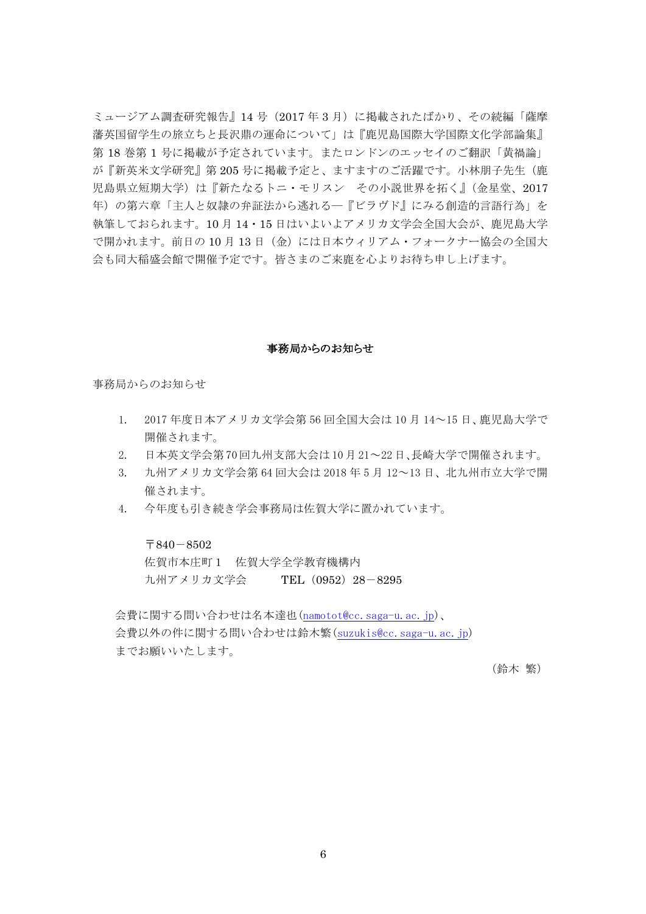ミュージアム調査研究報告』14 号(2017 年 3 月)に掲載されたばかり、その続編「薩摩 藩英国留学生の旅立ちと長沢鼎の運命について」は『鹿児島国際大学国際文化学部論集』 第18巻第1号に掲載が予定されています。またロンドンのエッセイのご翻訳「黄禍論」 が『新英米文学研究』第 205 号に掲載予定と、ますますのご活躍です。小林朋子先生(鹿 児島県立短期大学)は『新たなるトニ・モリスン その小説世界を拓く』(金星堂、2017 年)の第六章「主人と奴隷の弁証法から逃れる―『ビラヴド』にみる創造的言語行為」を 執筆しておられます。10 月 14・15 日はいよいよアメリカ文学会全国大会が、鹿児島大学 で開かれます。前日の10月13日(金)には日本ウィリアム・フォークナー協会の全国大 会も同大稲盛会館で開催予定です。皆さまのご来鹿を心よりお待ち申し上げます。

#### 事務局からのお知らせ

事務局からのお知らせ

- 1. 2017 年度日本アメリカ文学会第 56 回全国大会は 10 月 14~15 日、鹿児島大学で 開催されます。
- 2. 日本英文学会第 70 回九州支部大会は 10 月 21~22 日、長崎大学で開催されます。
- 3. 九州アメリカ文学会第 64 回大会は 2018 年 5 月 12~13 日、北九州市立大学で開 催されます。
- 4. 今年度も引き続き学会事務局は佐賀大学に置かれています。

#### 〒840-8502

佐賀市本庄町1 佐賀大学全学教育機構内 九州アメリカ文学会 TEL (0952) 28-8295

 会費に関する問い合わせは名本達也(namotot@cc.saga-u.ac.jp)、 会費以外の件に関する問い合わせは鈴木繁(suzukis@cc.saga-u.ac.jp) までお願いいたします。

 (鈴木 繁)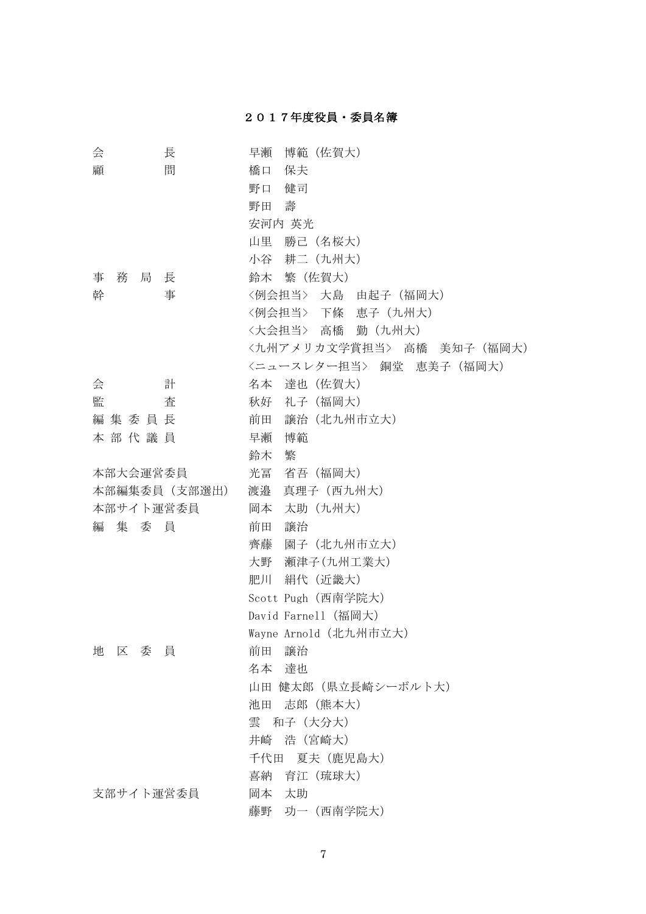## 2017年度役員・委員名簿

| 会<br>長           | 博範 (佐賀大)<br>早瀬              |
|------------------|-----------------------------|
| 間<br>顧           | 橋口<br>保夫                    |
|                  | 野口<br>健司                    |
|                  | 壽<br>野田                     |
|                  | 安河内 英光                      |
|                  | 勝己 (名桜大)<br>山里              |
|                  | 耕二 (九州大)<br>小谷              |
| 事<br>務<br>局<br>長 | 鈴木 繁 (佐賀大)                  |
| 幹<br>事           | <例会担当> 大島 由起子 (福岡大)         |
|                  | <例会担当> 下條<br>恵子 (九州大)       |
|                  | 勤 (九州大)<br>〈大会担当〉 高橋        |
|                  | <九州アメリカ文学賞担当> 高橋 美知子(福岡大)   |
|                  | 〈ニュースレター担当〉 銅堂<br>恵美子 (福岡大) |
| 計<br>会           | 達也 (佐賀大)<br>名本              |
| 監<br>査           | 秋好 礼子 (福岡大)                 |
| 編集委員長            | 譲治 (北九州市立大)<br>前田           |
| 本部代議員            | 博範<br>早瀬                    |
|                  | 繁<br>鈴木                     |
| 本部大会運営委員         | 光冨<br>省吾 (福岡大)              |
| 本部編集委員 (支部選出)    | 渡邉<br>真理子 (西九州大)            |
| 本部サイト運営委員        | 岡本<br>太助 (九州大)              |
| 編<br>集 委 員       | 前田<br>譲治                    |
|                  | 園子 (北九州市立大)<br>齊藤           |
|                  | 大野<br>瀬津子(九州工業大)            |
|                  | 肥川<br>絹代 (近畿大)              |
|                  | Scott Pugh (西南学院大)          |
|                  | David Farnel1 (福岡大)         |
|                  | Wayne Arnold (北九州市立大)       |
| 委<br>地<br>区<br>員 | 前田<br>譲治                    |
|                  | 名本 達也                       |
|                  | 山田 健太郎(県立長崎シーボルト大)          |
|                  | 志郎 (熊本大)<br>池田              |
|                  | 雲<br>和子 (大分大)               |
|                  | 浩 (宮崎大)<br>井崎               |
|                  | 夏夫 (鹿児島大)<br>千代田            |
|                  | 育江 (琉球大)<br>喜納              |
| 支部サイト運営委員        | 太助<br>岡本                    |
|                  | 藤野 功一 (西南学院大)               |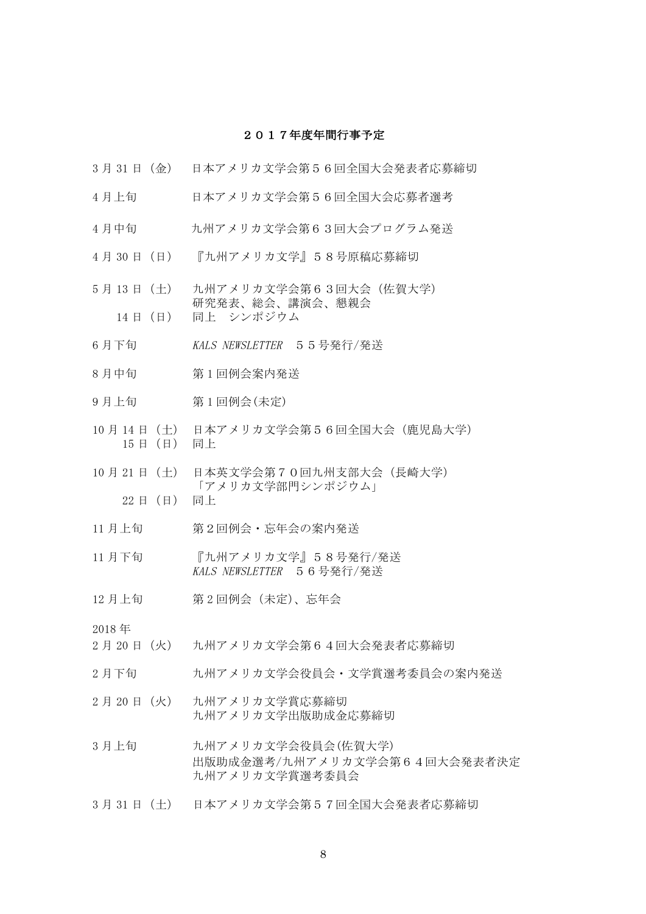#### 2017年度年間行事予定

- 3 月 31 日(金) 日本アメリカ文学会第56回全国大会発表者応募締切
- 4 月上旬 日本アメリカ文学会第56回全国大会応募者選考
- 4月中旬 カ州アメリカ文学会第63回大会プログラム発送
- 4 月 30 日(日) 『九州アメリカ文学』58号原稿応募締切
- 5月13日 (土) 九州アメリカ文学会第63回大会(佐賀大学) 研究発表、総会、講演会、懇親会 14 日 (日) 同上 シンポジウム
- 6月下旬 KALS NEWSLETTER 55号発行/発送
- 8 月中旬 第 1 回例会案内発送
- 9 月上旬 第 1 回例会(未定)
- 10 月 14 日(土) 日本アメリカ文学会第56回全国大会(鹿児島大学) 15 日(日) 同上
- 10 月 21 日(土) 日本英文学会第70回九州支部大会(長崎大学) 「アメリカ文学部門シンポジウム」 22 日(日) 同上
- 11 月上旬 第2回例会・忘年会の案内発送
- 11 月下旬 『九州アメリカ文学』58号発行/発送 KALS NEWSLETTER 56号発行/発送
- 12 月上旬 第 2 回例会 (未定)、忘年会

2018 年

- 2 月 20 日(火) 九州アメリカ文学会第64回大会発表者応募締切
- 2月下旬 わ州アメリカ文学会役員会・文学賞選考委員会の案内発送
- 2 月 20 日(火) 九州アメリカ文学賞応募締切 九州アメリカ文学出版助成金応募締切
- 3月上旬 カ州アメリカ文学会役員会(佐賀大学) 出版助成金選考/九州アメリカ文学会第64回大会発表者決定 九州アメリカ文学賞選考委員会
- 3 月 31 日(土) 日本アメリカ文学会第57回全国大会発表者応募締切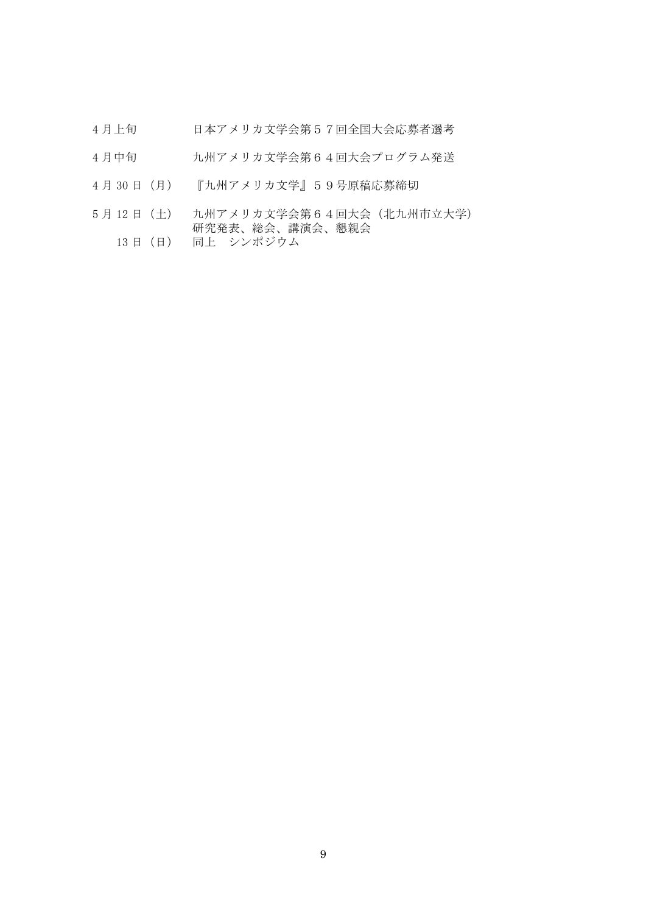- 4 月上旬 日本アメリカ文学会第57回全国大会応募者選考
- 4月中旬 カ州アメリカ文学会第64回大会プログラム発送
- 4 月 30 日(月) 『九州アメリカ文学』59号原稿応募締切
- 5 月 12 日(土) 九州アメリカ文学会第64回大会(北九州市立大学) 研究発表、総会、講演会、懇親会
	- 13 日 (日) 同上 シンポジウム